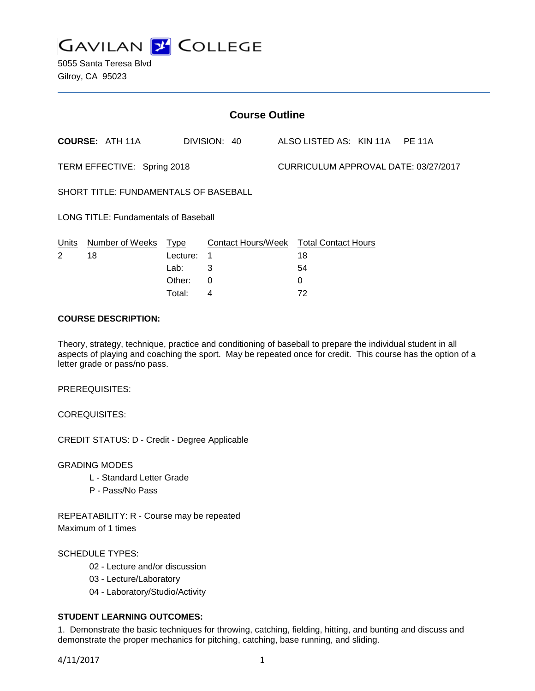

5055 Santa Teresa Blvd Gilroy, CA 95023

| <b>Course Outline</b>                       |                        |             |                           |  |                                      |  |  |  |
|---------------------------------------------|------------------------|-------------|---------------------------|--|--------------------------------------|--|--|--|
|                                             | <b>COURSE: ATH 11A</b> |             | DIVISION: 40              |  | ALSO LISTED AS: KIN 11A PE 11A       |  |  |  |
| TERM EFFECTIVE: Spring 2018                 |                        |             |                           |  | CURRICULUM APPROVAL DATE: 03/27/2017 |  |  |  |
| SHORT TITLE: FUNDAMENTALS OF BASEBALL       |                        |             |                           |  |                                      |  |  |  |
| <b>LONG TITLE: Fundamentals of Baseball</b> |                        |             |                           |  |                                      |  |  |  |
| Units                                       | Number of Weeks        | <u>Type</u> | <b>Contact Hours/Week</b> |  | <b>Total Contact Hours</b>           |  |  |  |
| 2                                           | 18                     | Lecture:    | 1                         |  | 18                                   |  |  |  |
|                                             |                        | Lab:        | 3                         |  | 54                                   |  |  |  |
|                                             |                        | Other:      | 0                         |  | 0                                    |  |  |  |
|                                             |                        | Total:      | 4                         |  | 72                                   |  |  |  |

### **COURSE DESCRIPTION:**

Theory, strategy, technique, practice and conditioning of baseball to prepare the individual student in all aspects of playing and coaching the sport. May be repeated once for credit. This course has the option of a letter grade or pass/no pass.

PREREQUISITES:

COREQUISITES:

CREDIT STATUS: D - Credit - Degree Applicable

GRADING MODES

- L Standard Letter Grade
- P Pass/No Pass

REPEATABILITY: R - Course may be repeated Maximum of 1 times

#### SCHEDULE TYPES:

- 02 Lecture and/or discussion
- 03 Lecture/Laboratory
- 04 Laboratory/Studio/Activity

# **STUDENT LEARNING OUTCOMES:**

1. Demonstrate the basic techniques for throwing, catching, fielding, hitting, and bunting and discuss and demonstrate the proper mechanics for pitching, catching, base running, and sliding.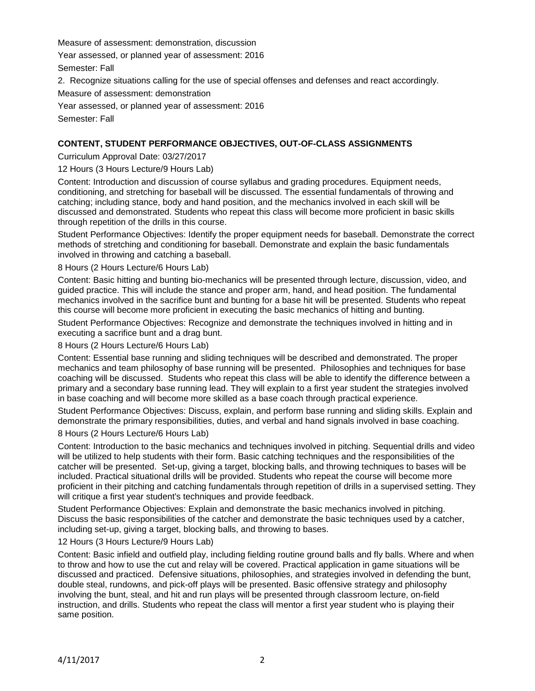Measure of assessment: demonstration, discussion

Year assessed, or planned year of assessment: 2016

Semester: Fall

2. Recognize situations calling for the use of special offenses and defenses and react accordingly.

Measure of assessment: demonstration

Year assessed, or planned year of assessment: 2016 Semester: Fall

# **CONTENT, STUDENT PERFORMANCE OBJECTIVES, OUT-OF-CLASS ASSIGNMENTS**

Curriculum Approval Date: 03/27/2017

12 Hours (3 Hours Lecture/9 Hours Lab)

Content: Introduction and discussion of course syllabus and grading procedures. Equipment needs, conditioning, and stretching for baseball will be discussed. The essential fundamentals of throwing and catching; including stance, body and hand position, and the mechanics involved in each skill will be discussed and demonstrated. Students who repeat this class will become more proficient in basic skills through repetition of the drills in this course.

Student Performance Objectives: Identify the proper equipment needs for baseball. Demonstrate the correct methods of stretching and conditioning for baseball. Demonstrate and explain the basic fundamentals involved in throwing and catching a baseball.

### 8 Hours (2 Hours Lecture/6 Hours Lab)

Content: Basic hitting and bunting bio-mechanics will be presented through lecture, discussion, video, and guided practice. This will include the stance and proper arm, hand, and head position. The fundamental mechanics involved in the sacrifice bunt and bunting for a base hit will be presented. Students who repeat this course will become more proficient in executing the basic mechanics of hitting and bunting.

Student Performance Objectives: Recognize and demonstrate the techniques involved in hitting and in executing a sacrifice bunt and a drag bunt.

#### 8 Hours (2 Hours Lecture/6 Hours Lab)

Content: Essential base running and sliding techniques will be described and demonstrated. The proper mechanics and team philosophy of base running will be presented. Philosophies and techniques for base coaching will be discussed. Students who repeat this class will be able to identify the difference between a primary and a secondary base running lead. They will explain to a first year student the strategies involved in base coaching and will become more skilled as a base coach through practical experience.

Student Performance Objectives: Discuss, explain, and perform base running and sliding skills. Explain and demonstrate the primary responsibilities, duties, and verbal and hand signals involved in base coaching.

### 8 Hours (2 Hours Lecture/6 Hours Lab)

Content: Introduction to the basic mechanics and techniques involved in pitching. Sequential drills and video will be utilized to help students with their form. Basic catching techniques and the responsibilities of the catcher will be presented. Set-up, giving a target, blocking balls, and throwing techniques to bases will be included. Practical situational drills will be provided. Students who repeat the course will become more proficient in their pitching and catching fundamentals through repetition of drills in a supervised setting. They will critique a first year student's techniques and provide feedback.

Student Performance Objectives: Explain and demonstrate the basic mechanics involved in pitching. Discuss the basic responsibilities of the catcher and demonstrate the basic techniques used by a catcher, including set-up, giving a target, blocking balls, and throwing to bases.

# 12 Hours (3 Hours Lecture/9 Hours Lab)

Content: Basic infield and outfield play, including fielding routine ground balls and fly balls. Where and when to throw and how to use the cut and relay will be covered. Practical application in game situations will be discussed and practiced. Defensive situations, philosophies, and strategies involved in defending the bunt, double steal, rundowns, and pick-off plays will be presented. Basic offensive strategy and philosophy involving the bunt, steal, and hit and run plays will be presented through classroom lecture, on-field instruction, and drills. Students who repeat the class will mentor a first year student who is playing their same position.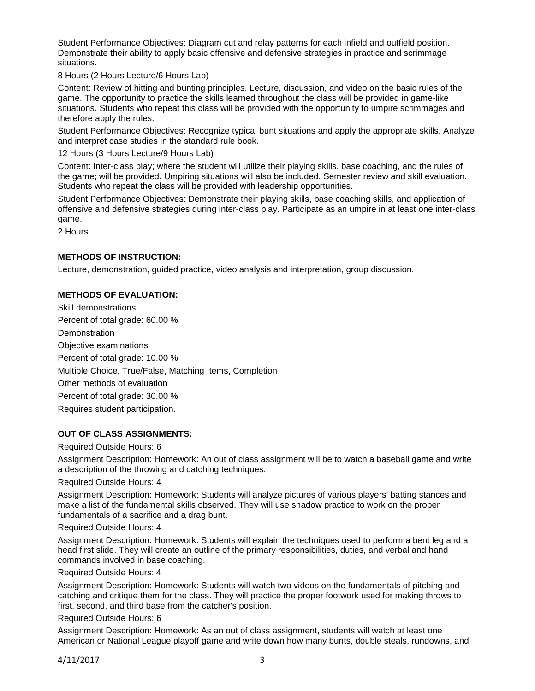Student Performance Objectives: Diagram cut and relay patterns for each infield and outfield position. Demonstrate their ability to apply basic offensive and defensive strategies in practice and scrimmage situations.

8 Hours (2 Hours Lecture/6 Hours Lab)

Content: Review of hitting and bunting principles. Lecture, discussion, and video on the basic rules of the game. The opportunity to practice the skills learned throughout the class will be provided in game-like situations. Students who repeat this class will be provided with the opportunity to umpire scrimmages and therefore apply the rules.

Student Performance Objectives: Recognize typical bunt situations and apply the appropriate skills. Analyze and interpret case studies in the standard rule book.

12 Hours (3 Hours Lecture/9 Hours Lab)

Content: Inter-class play; where the student will utilize their playing skills, base coaching, and the rules of the game; will be provided. Umpiring situations will also be included. Semester review and skill evaluation. Students who repeat the class will be provided with leadership opportunities.

Student Performance Objectives: Demonstrate their playing skills, base coaching skills, and application of offensive and defensive strategies during inter-class play. Participate as an umpire in at least one inter-class game.

2 Hours

### **METHODS OF INSTRUCTION:**

Lecture, demonstration, guided practice, video analysis and interpretation, group discussion.

# **METHODS OF EVALUATION:**

Skill demonstrations Percent of total grade: 60.00 % **Demonstration** Objective examinations Percent of total grade: 10.00 % Multiple Choice, True/False, Matching Items, Completion Other methods of evaluation Percent of total grade: 30.00 % Requires student participation.

#### **OUT OF CLASS ASSIGNMENTS:**

Required Outside Hours: 6

Assignment Description: Homework: An out of class assignment will be to watch a baseball game and write a description of the throwing and catching techniques.

Required Outside Hours: 4

Assignment Description: Homework: Students will analyze pictures of various players' batting stances and make a list of the fundamental skills observed. They will use shadow practice to work on the proper fundamentals of a sacrifice and a drag bunt.

#### Required Outside Hours: 4

Assignment Description: Homework: Students will explain the techniques used to perform a bent leg and a head first slide. They will create an outline of the primary responsibilities, duties, and verbal and hand commands involved in base coaching.

Required Outside Hours: 4

Assignment Description: Homework: Students will watch two videos on the fundamentals of pitching and catching and critique them for the class. They will practice the proper footwork used for making throws to first, second, and third base from the catcher's position.

#### Required Outside Hours: 6

Assignment Description: Homework: As an out of class assignment, students will watch at least one American or National League playoff game and write down how many bunts, double steals, rundowns, and